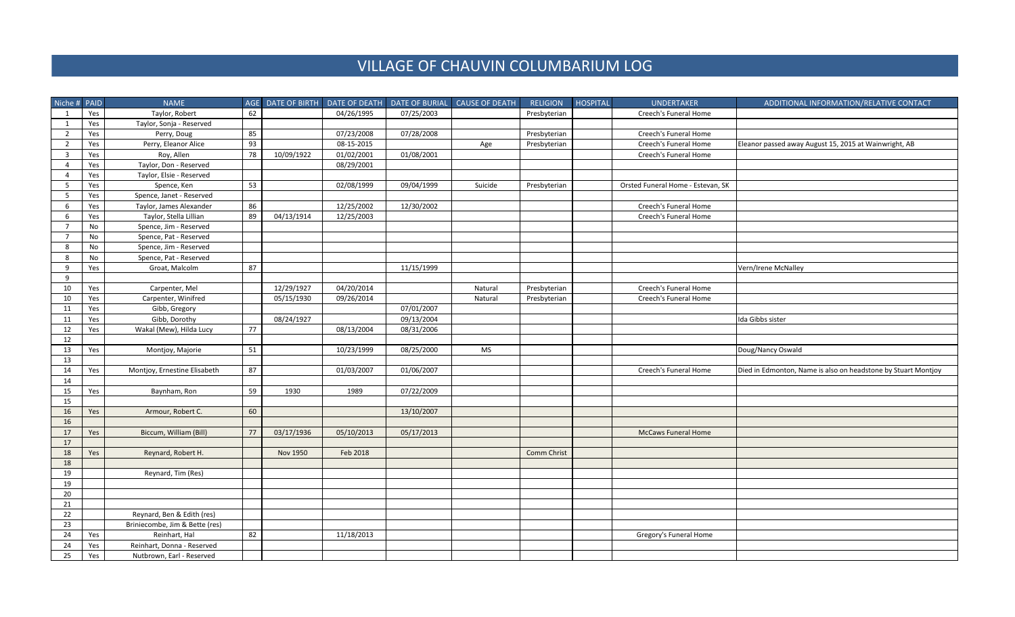## VILLAGE OF CHAUVIN COLUMBARIUM LOG

| Niche # PAID            |     | <b>NAME</b>                    |    |                 |            |            | AGE DATE OF BIRTH DATE OF DEATH DATE OF BURIAL CAUSE OF DEATH | <b>RELIGION</b> | HOSPITAL | <b>UNDERTAKER</b>                 | ADDITIONAL INFORMATION/RELATIVE CONTACT                       |
|-------------------------|-----|--------------------------------|----|-----------------|------------|------------|---------------------------------------------------------------|-----------------|----------|-----------------------------------|---------------------------------------------------------------|
| 1                       | Yes | Taylor, Robert                 | 62 |                 | 04/26/1995 | 07/25/2003 |                                                               | Presbyterian    |          | Creech's Funeral Home             |                                                               |
| 1                       | Yes | Taylor, Sonja - Reserved       |    |                 |            |            |                                                               |                 |          |                                   |                                                               |
| 2                       | Yes | Perry, Doug                    | 85 |                 | 07/23/2008 | 07/28/2008 |                                                               | Presbyterian    |          | Creech's Funeral Home             |                                                               |
| $\overline{2}$          | Yes | Perry, Eleanor Alice           | 93 |                 | 08-15-2015 |            | Age                                                           | Presbyterian    |          | Creech's Funeral Home             | Eleanor passed away August 15, 2015 at Wainwright, AB         |
| $\overline{\mathbf{3}}$ | Yes | Roy, Allen                     | 78 | 10/09/1922      | 01/02/2001 | 01/08/2001 |                                                               |                 |          | Creech's Funeral Home             |                                                               |
| $\overline{4}$          | Yes | Taylor, Don - Reserved         |    |                 | 08/29/2001 |            |                                                               |                 |          |                                   |                                                               |
| $\overline{4}$          | Yes | Taylor, Elsie - Reserved       |    |                 |            |            |                                                               |                 |          |                                   |                                                               |
| 5                       | Yes | Spence, Ken                    | 53 |                 | 02/08/1999 | 09/04/1999 | Suicide                                                       | Presbyterian    |          | Orsted Funeral Home - Estevan, SK |                                                               |
| 5                       | Yes | Spence, Janet - Reserved       |    |                 |            |            |                                                               |                 |          |                                   |                                                               |
| 6                       | Yes | Taylor, James Alexander        | 86 |                 | 12/25/2002 | 12/30/2002 |                                                               |                 |          | Creech's Funeral Home             |                                                               |
| 6                       | Yes | Taylor, Stella Lillian         | 89 | 04/13/1914      | 12/25/2003 |            |                                                               |                 |          | Creech's Funeral Home             |                                                               |
| $\overline{7}$          | No  | Spence, Jim - Reserved         |    |                 |            |            |                                                               |                 |          |                                   |                                                               |
| $\overline{7}$          | No  | Spence, Pat - Reserved         |    |                 |            |            |                                                               |                 |          |                                   |                                                               |
| 8                       | No  | Spence, Jim - Reserved         |    |                 |            |            |                                                               |                 |          |                                   |                                                               |
| 8                       | No  | Spence, Pat - Reserved         |    |                 |            |            |                                                               |                 |          |                                   |                                                               |
| 9                       | Yes | Groat, Malcolm                 | 87 |                 |            | 11/15/1999 |                                                               |                 |          |                                   | Vern/Irene McNalley                                           |
| 9                       |     |                                |    |                 |            |            |                                                               |                 |          |                                   |                                                               |
| 10                      | Yes | Carpenter, Mel                 |    | 12/29/1927      | 04/20/2014 |            | Natural                                                       | Presbyterian    |          | Creech's Funeral Home             |                                                               |
| 10                      | Yes | Carpenter, Winifred            |    | 05/15/1930      | 09/26/2014 |            | Natural                                                       | Presbyterian    |          | Creech's Funeral Home             |                                                               |
| 11                      | Yes | Gibb, Gregory                  |    |                 |            | 07/01/2007 |                                                               |                 |          |                                   |                                                               |
| 11                      | Yes | Gibb, Dorothy                  |    | 08/24/1927      |            | 09/13/2004 |                                                               |                 |          |                                   | Ida Gibbs sister                                              |
| 12                      | Yes | Wakal (Mew), Hilda Lucy        | 77 |                 | 08/13/2004 | 08/31/2006 |                                                               |                 |          |                                   |                                                               |
| 12                      |     |                                |    |                 |            |            |                                                               |                 |          |                                   |                                                               |
| 13                      | Yes | Montjoy, Majorie               | 51 |                 | 10/23/1999 | 08/25/2000 | <b>MS</b>                                                     |                 |          |                                   | Doug/Nancy Oswald                                             |
| 13                      |     |                                |    |                 |            |            |                                                               |                 |          |                                   |                                                               |
| 14                      | Yes | Montjoy, Ernestine Elisabeth   | 87 |                 | 01/03/2007 | 01/06/2007 |                                                               |                 |          | Creech's Funeral Home             | Died in Edmonton, Name is also on headstone by Stuart Montjoy |
| 14                      |     |                                |    |                 |            |            |                                                               |                 |          |                                   |                                                               |
| 15                      | Yes | Baynham, Ron                   | 59 | 1930            | 1989       | 07/22/2009 |                                                               |                 |          |                                   |                                                               |
| 15                      |     |                                |    |                 |            |            |                                                               |                 |          |                                   |                                                               |
| 16                      | Yes | Armour, Robert C.              | 60 |                 |            | 13/10/2007 |                                                               |                 |          |                                   |                                                               |
| 16                      |     |                                |    |                 |            |            |                                                               |                 |          |                                   |                                                               |
| 17                      | Yes | Biccum, William (Bill)         | 77 | 03/17/1936      | 05/10/2013 | 05/17/2013 |                                                               |                 |          | <b>McCaws Funeral Home</b>        |                                                               |
| 17                      |     |                                |    |                 |            |            |                                                               |                 |          |                                   |                                                               |
| 18                      | Yes | Reynard, Robert H.             |    | <b>Nov 1950</b> | Feb 2018   |            |                                                               | Comm Christ     |          |                                   |                                                               |
| 18                      |     |                                |    |                 |            |            |                                                               |                 |          |                                   |                                                               |
| 19                      |     | Reynard, Tim (Res)             |    |                 |            |            |                                                               |                 |          |                                   |                                                               |
| 19                      |     |                                |    |                 |            |            |                                                               |                 |          |                                   |                                                               |
| 20<br>21                |     |                                |    |                 |            |            |                                                               |                 |          |                                   |                                                               |
| 22                      |     | Reynard, Ben & Edith (res)     |    |                 |            |            |                                                               |                 |          |                                   |                                                               |
| 23                      |     | Briniecombe, Jim & Bette (res) |    |                 |            |            |                                                               |                 |          |                                   |                                                               |
| 24                      | Yes | Reinhart, Hal                  | 82 |                 | 11/18/2013 |            |                                                               |                 |          | Gregory's Funeral Home            |                                                               |
| 24                      | Yes | Reinhart, Donna - Reserved     |    |                 |            |            |                                                               |                 |          |                                   |                                                               |
| 25                      | Yes | Nutbrown, Earl - Reserved      |    |                 |            |            |                                                               |                 |          |                                   |                                                               |
|                         |     |                                |    |                 |            |            |                                                               |                 |          |                                   |                                                               |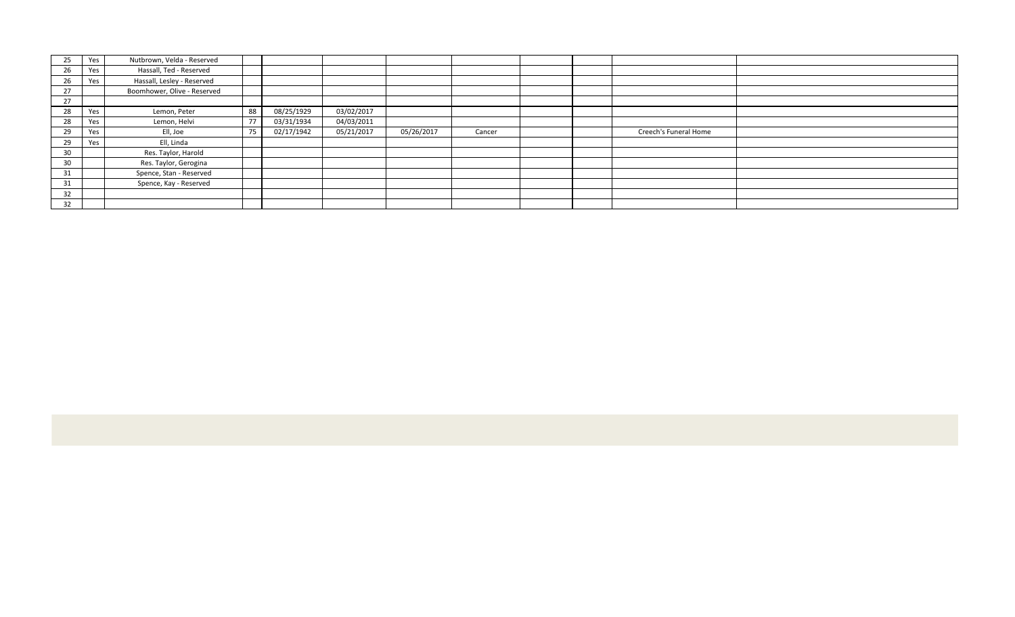| 25 | Yes | Nutbrown, Velda - Reserved  |    |            |            |            |        |  |                       |  |
|----|-----|-----------------------------|----|------------|------------|------------|--------|--|-----------------------|--|
| 26 | Yes | Hassall, Ted - Reserved     |    |            |            |            |        |  |                       |  |
| 26 | Yes | Hassall, Lesley - Reserved  |    |            |            |            |        |  |                       |  |
| 27 |     | Boomhower, Olive - Reserved |    |            |            |            |        |  |                       |  |
| 27 |     |                             |    |            |            |            |        |  |                       |  |
| 28 | Yes | Lemon, Peter                | 88 | 08/25/1929 | 03/02/2017 |            |        |  |                       |  |
| 28 | Yes | Lemon, Helvi                | 77 | 03/31/1934 | 04/03/2011 |            |        |  |                       |  |
| 29 | Yes | Ell, Joe                    | 75 | 02/17/1942 | 05/21/2017 | 05/26/2017 | Cancer |  | Creech's Funeral Home |  |
| 29 | Yes | Ell, Linda                  |    |            |            |            |        |  |                       |  |
| 30 |     | Res. Taylor, Harold         |    |            |            |            |        |  |                       |  |
| 30 |     | Res. Taylor, Gerogina       |    |            |            |            |        |  |                       |  |
| 31 |     | Spence, Stan - Reserved     |    |            |            |            |        |  |                       |  |
| 31 |     | Spence, Kay - Reserved      |    |            |            |            |        |  |                       |  |
| 32 |     |                             |    |            |            |            |        |  |                       |  |
| 32 |     |                             |    |            |            |            |        |  |                       |  |